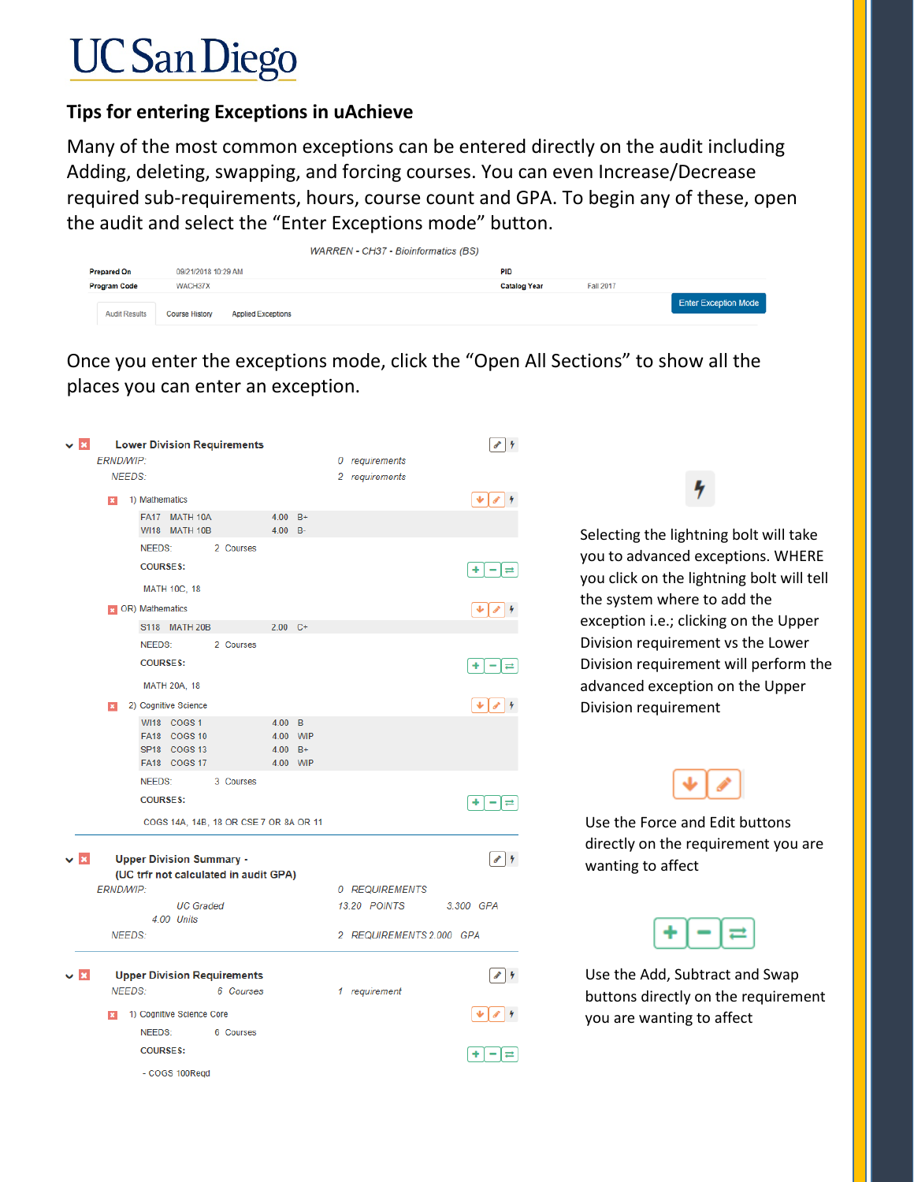# **UC** San Diego

## **Tips for entering Exceptions in uAchieve**

Many of the most common exceptions can be entered directly on the audit including Adding, deleting, swapping, and forcing courses. You can even Increase/Decrease required sub-requirements, hours, course count and GPA. To begin any of these, open the audit and select the "Enter Exceptions mode" button.

|                      |                                                    | <b>WARREN - CH37 - Bioinformatics (BS)</b> |                     |                  |                             |
|----------------------|----------------------------------------------------|--------------------------------------------|---------------------|------------------|-----------------------------|
| <b>Prepared On</b>   | 09/21/2018 10:29 AM                                |                                            | <b>PID</b>          |                  |                             |
| <b>Program Code</b>  | WACH37X                                            |                                            | <b>Catalog Year</b> | <b>Fall 2017</b> |                             |
| <b>Audit Results</b> | <b>Applied Exceptions</b><br><b>Course History</b> |                                            |                     |                  | <b>Enter Exception Mode</b> |

Once you enter the exceptions mode, click the "Open All Sections" to show all the places you can enter an exception.

| $\mathbf{v}$ $\mathbf{E}$ | <b>ERND/WIP:</b> | <b>Lower Division Requirements</b>                                       |                      |                               | 0 requirements           | $\bullet$ 4                  |                                                                                |
|---------------------------|------------------|--------------------------------------------------------------------------|----------------------|-------------------------------|--------------------------|------------------------------|--------------------------------------------------------------------------------|
|                           | <b>NEEDS:</b>    |                                                                          |                      |                               | 2 requirements           |                              |                                                                                |
|                           |                  | 1) Mathematics                                                           |                      |                               |                          | 〃∣<br>₩                      |                                                                                |
|                           |                  | FA17 MATH 10A                                                            | $4.00 B+$            |                               |                          |                              |                                                                                |
|                           |                  | <b>WI18 MATH 10B</b>                                                     | 4.00 B-              |                               |                          |                              | Selecting the lightning bolt will take                                         |
|                           |                  | <b>NEEDS:</b><br>2 Courses<br><b>COURSES:</b>                            |                      |                               |                          | ٠<br>-<br>$\rightleftarrows$ | you to advanced exceptions. WHERE<br>you click on the lightning bolt will tell |
|                           |                  | <b>MATH 10C, 18</b>                                                      |                      |                               |                          |                              | the system where to add the                                                    |
|                           |                  | <b>DR</b> ) Mathematics                                                  |                      |                               |                          | ₩                            |                                                                                |
|                           |                  | S118 MATH 20B                                                            | $2.00 C +$           |                               |                          |                              | exception i.e.; clicking on the Upper                                          |
|                           |                  | <b>NEEDS:</b><br>2 Courses                                               |                      |                               |                          |                              | Division requirement vs the Lower                                              |
|                           |                  | <b>COURSES:</b>                                                          |                      |                               |                          | ÷<br>$\equiv$<br>-           | Division requirement will perform the                                          |
|                           |                  | <b>MATH 20A, 18</b>                                                      |                      |                               |                          |                              | advanced exception on the Upper                                                |
|                           |                  | 2) Cognitive Science                                                     |                      |                               |                          | $\bullet$ 4<br>÷.            | Division requirement                                                           |
|                           |                  | WI18 COGS 1<br>FA18 COGS 10<br>SP18 COGS 13                              | 4.00<br>4.00<br>4.00 | $\overline{B}$<br>WIP<br>$B+$ |                          |                              |                                                                                |
|                           |                  | FA18 COGS 17<br><b>NEEDS:</b>                                            |                      | 4.00 WIP                      |                          |                              |                                                                                |
|                           |                  | 3 Courses<br><b>COURSES:</b>                                             |                      |                               |                          | ٠<br>-<br>$\rightleftarrows$ |                                                                                |
|                           |                  | COGS 14A, 14B, 18 OR CSE 7 OR 8A OR 11                                   |                      |                               |                          |                              | Use the Force and Edit buttons                                                 |
| v ⊠                       |                  | <b>Upper Division Summary -</b><br>(UC trfr not calculated in audit GPA) |                      |                               |                          | $\bullet$ 4                  | directly on the requirement you are<br>wanting to affect                       |
|                           | <b>ERND/WIP:</b> |                                                                          |                      |                               | 0 REQUIREMENTS           |                              |                                                                                |
|                           |                  | <b>UC</b> Graded                                                         |                      |                               | 13.20 POINTS             | 3.300 GPA                    |                                                                                |
|                           | <b>NEEDS:</b>    | 4.00 Units                                                               |                      |                               | 2 REQUIREMENTS 2.000 GPA |                              |                                                                                |
| 2 x                       | <b>NEEDS:</b>    | <b>Upper Division Requirements</b><br>6 Courses                          |                      |                               | 1 requirement            | $\bullet$ 4                  | Use the Add, Subtract and Swap<br>buttons directly on the requirement          |
|                           |                  | 1) Cognitive Science Core                                                |                      |                               |                          | $\sim$ 14                    | you are wanting to affect                                                      |
|                           |                  | <b>NEEDS:</b><br>6 Courses                                               |                      |                               |                          |                              |                                                                                |
|                           |                  | <b>COURSES:</b>                                                          |                      |                               |                          | ٠<br>-<br>$\rightleftarrows$ |                                                                                |
|                           |                  | - COGS 100Reqd                                                           |                      |                               |                          |                              |                                                                                |